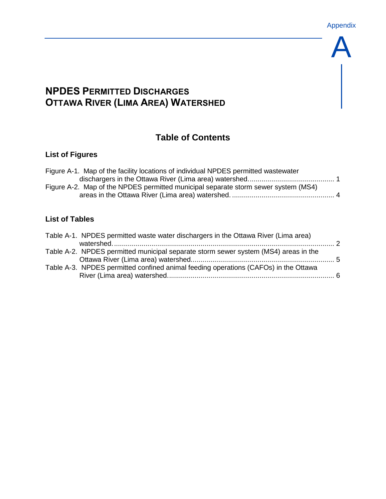A

# **NPDES PERMITTED DISCHARGES OTTAWA RIVER (LIMA AREA) WATERSHED**

## **Table of Contents**

### **List of Figures**

| Figure A-1. Map of the facility locations of individual NPDES permitted wastewater |  |
|------------------------------------------------------------------------------------|--|
|                                                                                    |  |
| Figure A-2. Map of the NPDES permitted municipal separate storm sewer system (MS4) |  |
|                                                                                    |  |

### **List of Tables**

| Table A-1. NPDES permitted waste water dischargers in the Ottawa River (Lima area)  |  |
|-------------------------------------------------------------------------------------|--|
| Table A-2. NPDES permitted municipal separate storm sewer system (MS4) areas in the |  |
| Table A-3. NPDES permitted confined animal feeding operations (CAFOs) in the Ottawa |  |
|                                                                                     |  |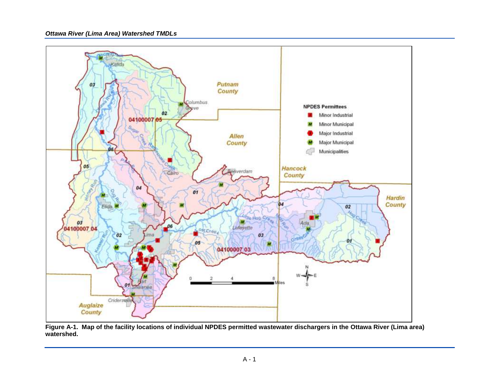

**Figure A-1. Map of the facility locations of individual NPDES permitted wastewater dischargers in the Ottawa River (Lima area) watershed.**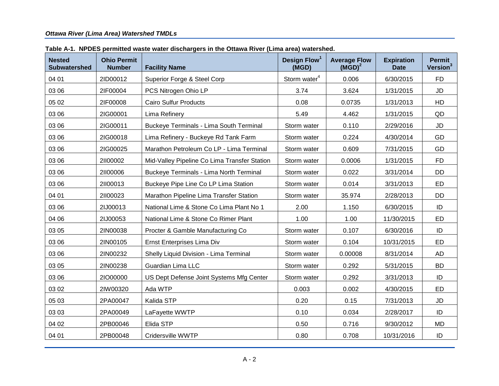| <b>Nested</b><br><b>Subwatershed</b> | <b>Ohio Permit</b><br><b>Number</b> | <b>Facility Name</b>                           | Design Flow <sup>1</sup><br>(MGD) | <b>Average Flow</b><br>$(MGD)^2$ | <b>Expiration</b><br><b>Date</b> | <b>Permit</b><br>Version <sup>3</sup> |
|--------------------------------------|-------------------------------------|------------------------------------------------|-----------------------------------|----------------------------------|----------------------------------|---------------------------------------|
| 04 01                                | 2ID00012                            | Superior Forge & Steel Corp                    | Storm water <sup>4</sup>          | 0.006                            | 6/30/2015                        | <b>FD</b>                             |
| 03 06                                | 2IF00004                            | PCS Nitrogen Ohio LP                           | 3.74                              | 3.624                            | 1/31/2015                        | <b>JD</b>                             |
| 05 02                                | 2IF00008                            | <b>Cairo Sulfur Products</b>                   | 0.08                              | 0.0735                           | 1/31/2013                        | HD                                    |
| 03 06                                | 2IG00001                            | Lima Refinery                                  | 5.49                              | 4.462                            | 1/31/2015                        | QD                                    |
| 03 06                                | 2IG00011                            | <b>Buckeye Terminals - Lima South Terminal</b> | Storm water                       | 0.110                            | 2/29/2016                        | <b>JD</b>                             |
| 03 06                                | 2IG00018                            | Lima Refinery - Buckeye Rd Tank Farm           | Storm water                       | 0.224                            | 4/30/2014                        | GD                                    |
| 03 06                                | 2IG00025                            | Marathon Petroleum Co LP - Lima Terminal       | Storm water                       | 0.609                            | 7/31/2015                        | GD                                    |
| 03 06                                | 21100002                            | Mid-Valley Pipeline Co Lima Transfer Station   | Storm water                       | 0.0006                           | 1/31/2015                        | <b>FD</b>                             |
| 03 06                                | 21100006                            | <b>Buckeye Terminals - Lima North Terminal</b> | Storm water                       | 0.022                            | 3/31/2014                        | <b>DD</b>                             |
| 03 06                                | 21100013                            | Buckeye Pipe Line Co LP Lima Station           | Storm water                       | 0.014                            | 3/31/2013                        | <b>ED</b>                             |
| 04 01                                | 21100023                            | Marathon Pipeline Lima Transfer Station        | Storm water                       | 35.974                           | 2/28/2013                        | <b>DD</b>                             |
| 03 06                                | 2IJ00013                            | National Lime & Stone Co Lima Plant No 1       | 2.00                              | 1.150                            | 6/30/2015                        | ID                                    |
| 04 06                                | 2IJ00053                            | National Lime & Stone Co Rimer Plant           | 1.00                              | 1.00                             | 11/30/2015                       | <b>ED</b>                             |
| 03 05                                | 2IN00038                            | Procter & Gamble Manufacturing Co              | Storm water                       | 0.107                            | 6/30/2016                        | ID                                    |
| 03 06                                | 2IN00105                            | Ernst Enterprises Lima Div                     | Storm water                       | 0.104                            | 10/31/2015                       | <b>ED</b>                             |
| 03 06                                | 2IN00232                            | Shelly Liquid Division - Lima Terminal         | Storm water                       | 0.00008                          | 8/31/2014                        | <b>AD</b>                             |
| 03 05                                | 2IN00238                            | Guardian Lima LLC                              | Storm water                       | 0.292                            | 5/31/2015                        | <b>BD</b>                             |
| 03 06                                | 21000000                            | US Dept Defense Joint Systems Mfg Center       | Storm water                       | 0.292                            | 3/31/2013                        | ID                                    |
| 03 02                                | 2IW00320                            | Ada WTP                                        | 0.003                             | 0.002                            | 4/30/2015                        | ED                                    |
| 05 03                                | 2PA00047                            | Kalida STP                                     | 0.20                              | 0.15                             | 7/31/2013                        | <b>JD</b>                             |
| 03 03                                | 2PA00049                            | LaFayette WWTP                                 | 0.10                              | 0.034                            | 2/28/2017                        | ID                                    |
| 04 02                                | 2PB00046                            | Elida STP                                      | 0.50                              | 0.716                            | 9/30/2012                        | MD                                    |
| 04 01                                | 2PB00048                            | Cridersville WWTP                              | 0.80                              | 0.708                            | 10/31/2016                       | ID                                    |

**Table A-1. NPDES permitted waste water dischargers in the Ottawa River (Lima area) watershed.**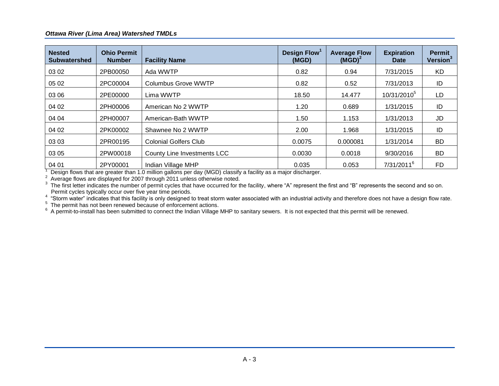| <b>Nested</b><br><b>Subwatershed</b>                                                                                                                                                                                                                                                                                                                                                         | <b>Ohio Permit</b><br><b>Number</b> | <b>Facility Name</b>               | Design Flow <sup>1</sup><br>(MGD) | <b>Average Flow</b><br>$(MGD)^2$ | <b>Expiration</b><br><b>Date</b> | <b>Permit</b><br>Version <sup>3</sup> |  |  |
|----------------------------------------------------------------------------------------------------------------------------------------------------------------------------------------------------------------------------------------------------------------------------------------------------------------------------------------------------------------------------------------------|-------------------------------------|------------------------------------|-----------------------------------|----------------------------------|----------------------------------|---------------------------------------|--|--|
| 03 02                                                                                                                                                                                                                                                                                                                                                                                        | 2PB00050                            | Ada WWTP                           | 0.82                              | 0.94                             | 7/31/2015                        | KD                                    |  |  |
| 05 02                                                                                                                                                                                                                                                                                                                                                                                        | 2PC00004                            | <b>Columbus Grove WWTP</b>         | 0.82                              | 0.52                             | 7/31/2013                        | ID                                    |  |  |
| 03 06                                                                                                                                                                                                                                                                                                                                                                                        | 2PE00000                            | Lima WWTP                          | 18.50                             | 14.477                           | 10/31/2010 <sup>5</sup>          | LD                                    |  |  |
| 04 02                                                                                                                                                                                                                                                                                                                                                                                        | 2PH00006                            | American No 2 WWTP                 | 1.20                              | 0.689                            | 1/31/2015                        | ID                                    |  |  |
| 04 04                                                                                                                                                                                                                                                                                                                                                                                        | 2PH00007                            | American-Bath WWTP                 | 1.50                              | 1.153                            | 1/31/2013                        | JD                                    |  |  |
| 04 02                                                                                                                                                                                                                                                                                                                                                                                        | 2PK00002                            | Shawnee No 2 WWTP                  | 2.00                              | 1.968                            | 1/31/2015                        | ID                                    |  |  |
| 03 03                                                                                                                                                                                                                                                                                                                                                                                        | 2PR00195                            | <b>Colonial Golfers Club</b>       | 0.0075                            | 0.000081                         | 1/31/2014                        | <b>BD</b>                             |  |  |
| 03 05                                                                                                                                                                                                                                                                                                                                                                                        | 2PW00018                            | <b>County Line Investments LCC</b> | 0.0030                            | 0.0018                           | 9/30/2016                        | <b>BD</b>                             |  |  |
| 04 01                                                                                                                                                                                                                                                                                                                                                                                        | 2PY00001                            | Indian Village MHP                 | 0.035                             | 0.053                            | 7/31/2011 <sup>6</sup>           | FD.                                   |  |  |
| Design flows that are greater than 1.0 million gallons per day (MGD) classify a facility as a major discharger.<br><sup>2</sup> Average flows are displayed for 2007 through 2011 unless otherwise noted.<br><sup>3</sup> The first letter indicates the number of permit cycles that have occurred for the facility, where "A" represent the first and "B" represents the second and so on. |                                     |                                    |                                   |                                  |                                  |                                       |  |  |

Permit cycles typically occur over five year time periods.<br><sup>4</sup> "Storm water" indicates that this facility is only designed to treat storm water associated with an industrial activity and therefore does not have a design fl

 $6$  A permit-to-install has been submitted to connect the Indian Village MHP to sanitary sewers. It is not expected that this permit will be renewed.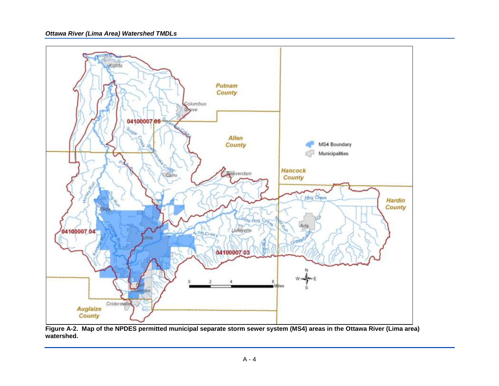

**Figure A-2. Map of the NPDES permitted municipal separate storm sewer system (MS4) areas in the Ottawa River (Lima area) watershed.**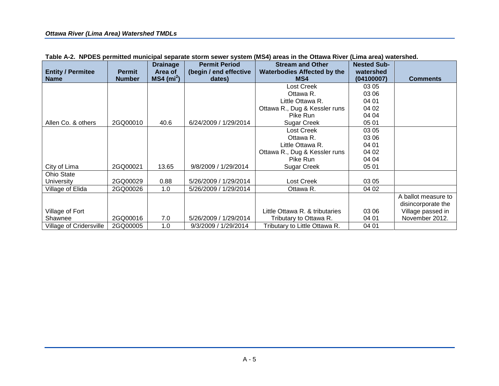|                                |               | <b>Drainage</b>          | <b>Permit Period</b>   | <b>Stream and Other</b>            | <b>Nested Sub-</b> |                     |
|--------------------------------|---------------|--------------------------|------------------------|------------------------------------|--------------------|---------------------|
| <b>Entity / Permitee</b>       | <b>Permit</b> | Area of                  | (begin / end effective | <b>Waterbodies Affected by the</b> | watershed          |                     |
| <b>Name</b>                    | <b>Number</b> | $MS4$ (mi <sup>2</sup> ) | dates)                 | MS4                                | (04100007)         | <b>Comments</b>     |
|                                |               |                          |                        | Lost Creek                         | 03 05              |                     |
|                                |               |                          |                        | Ottawa R.                          | 03 06              |                     |
|                                |               |                          |                        | Little Ottawa R.                   | 04 01              |                     |
|                                |               |                          |                        | Ottawa R., Dug & Kessler runs      | 04 02              |                     |
|                                |               |                          |                        | Pike Run                           | 04 04              |                     |
| Allen Co. & others             | 2GQ00010      | 40.6                     | 6/24/2009 / 1/29/2014  | Sugar Creek                        | 05 01              |                     |
|                                |               |                          |                        | Lost Creek                         | 03 05              |                     |
|                                |               |                          |                        | Ottawa R.                          | 03 06              |                     |
|                                |               |                          |                        | Little Ottawa R.                   | 04 01              |                     |
|                                |               |                          |                        | Ottawa R., Dug & Kessler runs      | 04 02              |                     |
|                                |               |                          |                        | Pike Run                           | 04 04              |                     |
| City of Lima                   | 2GQ00021      | 13.65                    | 9/8/2009 / 1/29/2014   | Sugar Creek                        | 05 01              |                     |
| Ohio State                     |               |                          |                        |                                    |                    |                     |
| <b>University</b>              | 2GQ00029      | 0.88                     | 5/26/2009 / 1/29/2014  | Lost Creek                         | 03 05              |                     |
| Village of Elida               | 2GQ00026      | 1.0                      | 5/26/2009 / 1/29/2014  | Ottawa R.                          | 04 02              |                     |
|                                |               |                          |                        |                                    |                    | A ballot measure to |
|                                |               |                          |                        |                                    |                    | disincorporate the  |
| Village of Fort                |               |                          |                        | Little Ottawa R. & tributaries     | 03 06              | Village passed in   |
| Shawnee                        | 2GQ00016      | 7.0                      | 5/26/2009 / 1/29/2014  | Tributary to Ottawa R.             | 04 01              | November 2012.      |
| <b>Village of Cridersville</b> | 2GQ00005      | 1.0                      | 9/3/2009 / 1/29/2014   | Tributary to Little Ottawa R.      | 04 01              |                     |

**Table A-2. NPDES permitted municipal separate storm sewer system (MS4) areas in the Ottawa River (Lima area) watershed.**